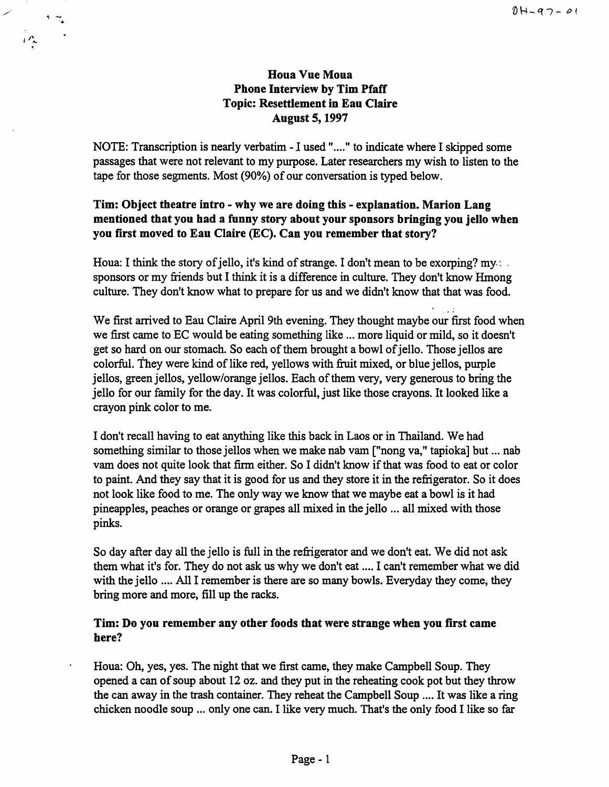# **Houa Vue Moua Phone Interview by Tim Pfaff Topic: Resettlement in Eau Claire August 5, 1997**

 $\mathcal{L}$ 

 $\gamma$   $\approx$ 

NOTE: Transcription is nearly verbatim - I used "...." to indicate where I skipped some passages that were not relevant to my purpose. Later researchers my wish to listen to the tape for those segments. Most (90%) of our conversation is typed below.

# **Tim: Object theatre intro** - **why we are doing this** - **explanation. Marion Lang mentioned that you had a funny story about your sponsors bringing you jello when you first moved to Eau Claire** (EC). **Can you remember that story?**

Houa: I think the story of jello, it's kind of strange. I don't mean to be exorping? my. sponsors or my friends but I think it is a difference in culture. They don't know Hmong culture. They don't know what to prepare for us and we didn't know that that was food.

. ' <sup>~</sup> We first arrived to Eau Claire April 9th evening. They thought maybe our first food when we first came to EC would be eating something like ... more liquid or mild, so it doesn't get so hard on our stomach. So each of them brought a bowl of jello. Those jellos are colorful. They were kind of like red, yellows with fruit mixed, or blue jellos, purple jellos, green jellos, yellow/orange jellos. Each of them very, very generous to bring the jello for our family for the day. It was colorful, just like those crayons. It looked like a crayon pink color to me.

I don't recall having to eat anything like this back in Laos or in Thailand. We had something similar to those jellos when we make nab vam ["nong va," tapioka] but ... nab vam does not quite look that firm either. So I didn't know if that was food to eat or color to paint. And they say that it is good for us and they store it in the refrigerator. So it does not look like food to me. The only way we know that we maybe eat a bowl is it had pineapples, peaches or orange or grapes all mixed in the jello ... all mixed with those pinks.

So day after day all the jello is full in the refrigerator and we don't eat. We did not ask them what it's for. They do not ask us why we don't eat .... I can't remember what we did with the jello .... All I remember is there are so many bowls. Everyday they come, they bring more and more, fill up the racks.

## **Tim: Do you remember any other foods that were strange when you first came here?**

Houa: Oh, yes, yes. The night that we first came, they make Campbell Soup. They opened a can of soup about 12 oz. and they put in the reheating cook pot but they throw the can away in the trash container. They reheat the Campbell Soup .... It was like a ring chicken noodle soup ... only one can. I like very much. That's the only food I like so far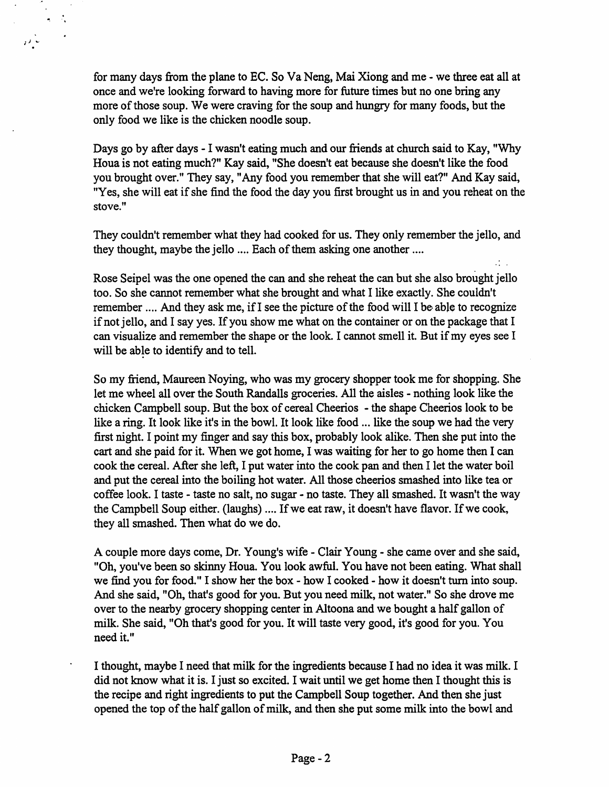for many days from the plane to EC. So Va Neng, Mai Xiong and me - we three eat all at once and we're looking forward to having more for future times but no one bring any more of those soup. We were craving for the soup and hungry for many foods, but the only food we like is the chicken noodle soup.

 $i \rightarrow \infty$ 

Days go by after days - I wasn't eating much and our friends at church said to Kay, "Why Houa is not eating much?" Kay said, "She doesn't eat because she doesn't like the food you brought over." They say, "Any food you remember that she will eat?" And Kay said, "Yes, she will eat if she find the food the day you first brought us in and you reheat on the stove."

They couldn't remember what they had cooked for us. They only remember the jello, and they thought, maybe the jello .... Each of them asking one another ....

 $\mathcal{L}_{\text{max}}$ 

Rose Seipel was the one opened the can and she reheat the can but she also brought jello too. So she cannot remember what she brought and what I like exactly. She couldn't remember .... And they ask me, ifI see the picture of the food will I be able to recognize if not jello, and I say yes. If you show me what on the container or on the package that I can visualize and remember the shape or the look. I cannot smell it. But if my eyes see I will be able to identify and to tell.

So my friend, Maureen Noying, who was my grocery shopper took me for shopping. She let me wheel all over the South Randalls groceries. All the aisles - nothing look like the chicken Campbell soup. But the box of cereal Cheerios - the shape Cheerios look to be like a ring. It look like it's in the bowl. It look like food ... like the soup we had the very first night. I point my finger and say this box, probably look alike. Then she put into the cart and she paid for it. When we got home, I was waiting for her to go home then I can cook the cereal. After she left, I put water into the cook pan and then I let the water boil and put the cereal into the boiling hot water. All those cheerios smashed into like tea or coffee look. I taste - taste no salt, no sugar - no taste. They all smashed. It wasn't the way the Campbell Soup either. (laughs) .... If we eat raw, it doesn't have flavor. If we cook, they all smashed. Then what do we do.

A couple more days come, Dr. Young's wife - Clair Young - she came over and she said, "Oh, you've been so skinny Houa. You look awful. You have not been eating. What shall we find you for food." I show her the box - how I cooked - how it doesn't turn into soup. And she said, "Oh, that's good for you. But you need milk, not water." So she drove me over to the nearby grocery shopping center in Altoona and we bought a half gallon of milk. She said, "Oh that's good for you. It will taste very good, it's good for you. You need it."

I thought, maybe I need that milk for the ingredients because I had no idea it was milk. I did not know what it is. I just so excited. I wait until we get home then I thought this is the recipe and right ingredients to put the Campbell Soup together. And then she just opened the top of the half gallon of milk, and then she put some milk into the bowl and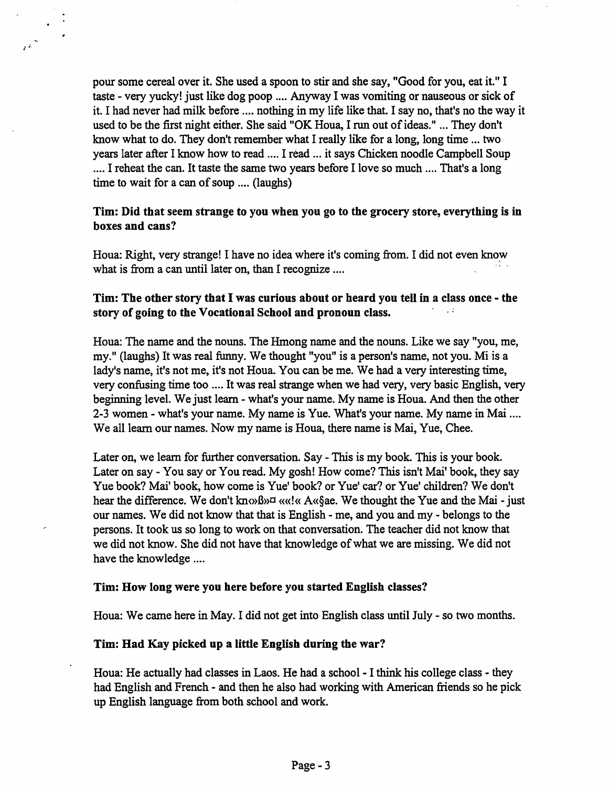pour some cereal over it. She used a spoon to stir and she say, "Good for you, eat it." I taste - very yucky! just like dog poop .... Anyway I was vomiting or nauseous or sick of it. I had never had milk before .... nothing in my life like that. I say no, that's no the way it used to be the first night either. She said "OK Houa, I run out of ideas." ... They don't know what to do. They don't remember what I really like for a long, long time ... two years later after I know how to read .... I read ... it says Chicken noodle Campbell Soup .... I reheat the can. It taste the same two years before I love so much .... That's a long time to wait for a can of soup .... (laughs)

*I J\_* 

## Tim: Did that seem strange to you when you go to the grocery store, everything is in **boxes and cans?**

Houa: Right, very strange! I have no idea where it's coming from. I did not even know what is from a can until later on, than I recognize ....

## **Tim: The other story that** I **was curious about or heard you tell in a class once** - **the story of going to the Vocational School and pronoun class.**

Houa: The name and the nouns. The Hmong name and the nouns. Like we say "you, me, my." (laughs) It was real funny. We thought "you" is a person's name, not you. Mi is a lady's name, it's not me, it's not Houa. You can be me. We had a very interesting time, very confusing time too .... It was real strange when we had very, very basic English, very beginning level. We just learn - what's your name. My name is Houa. And then the other 2-3 women - what's your name. My name is Yue. What's your name. My name in Mai .... We all learn our names. Now my name is Houa, there name is Mai, Yue, Chee.

Later on, we learn for further conversation. Say - This is my book. This is your book. Later on say - You say or You read. My gosh! How come? This isn't Mai' book, they say Yue book? Mai' book, how come is Yue' book? or Yue' car? or Yue' children? We don't hear the difference. We don't know B  $\alpha$  ( $\alpha$  A  $\alpha$  Sae. We thought the Yue and the Mai - just our names. We did not know that that is English - me, and you and my - belongs to the persons. It took us so long to work on that conversation. The teacher did not know that we did not know. She did not have that knowledge of what we are missing. We did not have the knowledge ....

#### **Tim: How long were you here before you started English classes?**

Houa: We came here in May. I did not get into English class until July- so two months.

#### **Tim: Had Kay picked up a little English during the war?**

Houa: He actually had classes in Laos. He had a school - I think his college class - they had English and French- and then he also had working with American friends so he pick up English language from both school and work.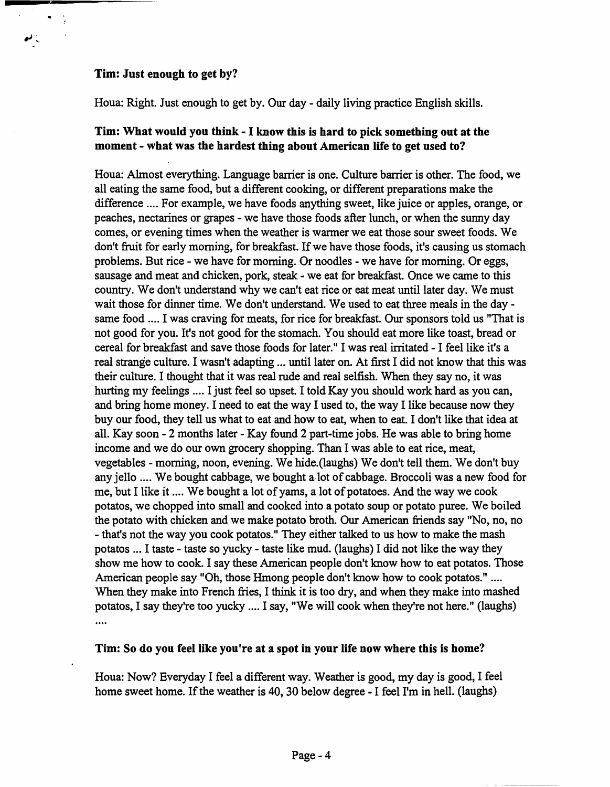## **Tim: Just enough to get by?**

ر نم

Houa: Right. Just enough to get by. Our day- daily living practice English skills.

## **Tim: What would you think** - I **know this is hard to pick something out at the moment** - **what was the hardest thing about American life to get used to?**

Houa: Almost everything. Language barrier is one. Culture barrier is other. The food, we all eating the same food, but a different cooking, or different preparations make the difference .... For example, we have foods anything sweet, like juice or apples, orange, or peaches, nectarines or grapes - we have those foods after lunch, or when the sunny day comes, or evening times when the weather is warmer we eat those sour sweet foods. We don't fruit for early morning, for breakfast. If we have those foods, it's causing us stomach problems. But rice - we have for morning. Or noodles - we have for morning. Or eggs, sausage and meat and chicken, pork, steak - we eat for breakfast. Once we came to this country. We don't understand why we can't eat rice or eat meat until later day. We must wait those for dinner time. We don't understand. We used to eat three meals in the day same food .... I was craving for meats, for rice for breakfast. Our sponsors told us "That is not good for you. It's not good for the stomach. You should eat more like toast, bread or cereal for breakfast and save those foods for later." I was real irritated - I feel like it's a real strange culture. I wasn't adapting ... until later on. At first I did not know that this was their culture. I thought that it was real rude and real selfish. When they say no, it was hurting my feelings .... I just feel so upset. I told Kay you should work hard as you can, and bring home money. I need to eat the way I used to, the way I like because now they buy our food, they tell us what to eat and how to eat, when to eat. I don't like that idea at all. Kay soon - 2 months later - Kay found 2 part-time jobs. He was able to bring home income and we do our own grocery shopping. Than I was able to eat rice, meat, vegetables - morning, noon, evening. We hide.(laughs) We don't tell them. We don't buy any jello .... We bought cabbage, we bought a-lot of cabbage. Broccoli was a new food for me, but I like it .... We bought a lot of yams, a lot of potatoes. And the way we cook potatos, we chopped into small and cooked into a potato soup or potato puree. We boiled the potato with chicken and we make potato broth. Our American friends say "No, no, no - that's not the way you cook potatos." They either talked to us how to make the mash potatos ... I taste - taste so yucky - taste like mud. (laughs) I did not like the way they show me how to cook. I say these American people don't know how to eat potatos. Those American people say "Oh, those Hmong people don't know how to cook potatos." .... When they make into French fries, I think it is too dry, and when they make into mashed potatos, I say they're too yucky .... I say, "We will cook when they're not here." (laughs) ....

### **Tim: So do you feel like you 're at a spot in your life now where this is home?**

Houa: Now? Everyday I feel a different way. Weather is good, my day is good, I feel home sweet home. If the weather is 40, 30 below degree - I feel I'm in hell. (laughs)